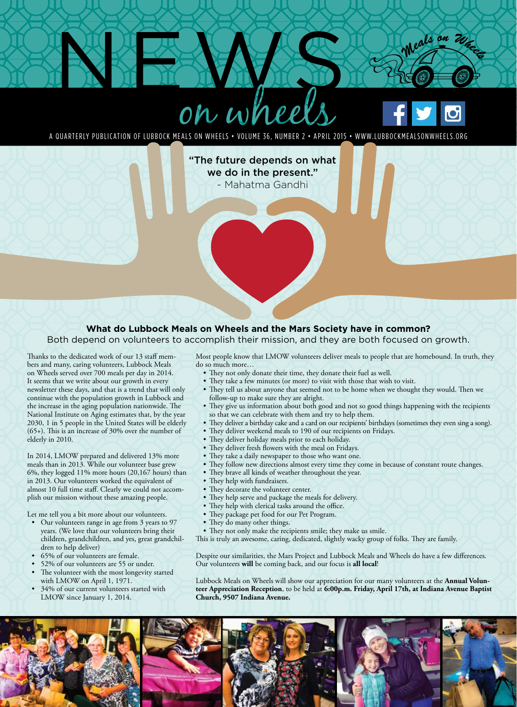



Meals an 20.

A QUARTERLY PUBLICATION OF LUBBOCK MEALS ON WHEELS • VOLUME 36, NUMBER 2 • APRIL 2015 • WWW.LUBBOCKMEALSONWHEELS.ORG

"The future depends on what we do in the present." ~ Mahatma Gandhi

## **What do Lubbock Meals on Wheels and the Mars Society have in common?**

Both depend on volunteers to accomplish their mission, and they are both focused on growth.

Thanks to the dedicated work of our 13 staff members and many, caring volunteers, Lubbock Meals on Wheels served over 700 meals per day in 2014. It seems that we write about our growth in every newsletter these days, and that is a trend that will only continue with the population growth in Lubbock and the increase in the aging population nationwide. The National Institute on Aging estimates that, by the year 2030, 1 in 5 people in the United States will be elderly (65+). This is an increase of 30% over the number of elderly in 2010.

In 2014, LMOW prepared and delivered 13% more meals than in 2013. While our volunteer base grew 6%, they logged 11% more hours (20,167 hours) than in 2013. Our volunteers worked the equivalent of almost 10 full time staff. Clearly we could not accomplish our mission without these amazing people.

Let me tell you a bit more about our volunteers.

- Our volunteers range in age from 3 years to 97 years. (We love that our volunteers bring their children, grandchildren, and yes, great grandchildren to help deliver)
- 65% of our volunteers are female.
- 52% of our volunteers are 55 or under.
- The volunteer with the most longevity started with LMOW on April 1, 1971.
- 34% of our current volunteers started with LMOW since January 1, 2014.

Most people know that LMOW volunteers deliver meals to people that are homebound. In truth, they do so much more…

- They not only donate their time, they donate their fuel as well.
- They take a few minutes (or more) to visit with those that wish to visit.
- They tell us about anyone that seemed not to be home when we thought they would. Then we follow-up to make sure they are alright.
- They give us information about both good and not so good things happening with the recipients so that we can celebrate with them and try to help them.
- They deliver a birthday cake and a card on our recipients' birthdays (sometimes they even sing a song).
- They deliver weekend meals to 190 of our recipients on Fridays.
- They deliver holiday meals prior to each holiday.
- They deliver fresh flowers with the meal on Fridays.
- They take a daily newspaper to those who want one.
- They follow new directions almost every time they come in because of constant route changes.
- They brave all kinds of weather throughout the year.
- They help with fundraisers.
- They decorate the volunteer center.
- They help serve and package the meals for delivery.
- They help with clerical tasks around the office.
- They package pet food for our Pet Program.
- They do many other things.
- They not only make the recipients smile; they make us smile.
- This is truly an awesome, caring, dedicated, slightly wacky group of folks. They are family.

Despite our similarities, the Mars Project and Lubbock Meals and Wheels do have a few differences. Our volunteers **will** be coming back, and our focus is **all local**!

Lubbock Meals on Wheels will show our appreciation for our many volunteers at the **Annual Volunteer Appreciation Reception**, to be held at **6:00p.m. Friday, April 17th, at Indiana Avenue Baptist Church, 9507 Indiana Avenue.**

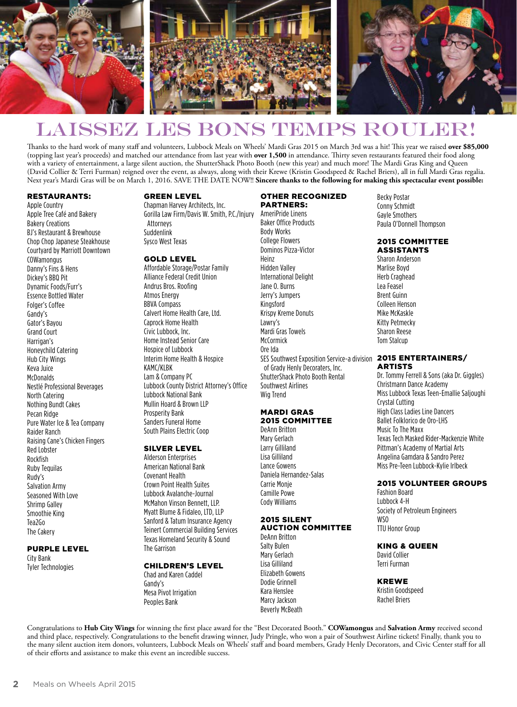

## LAISSEZ LES BONS TEMPS ROULER

Thanks to the hard work of many staff and volunteers, Lubbock Meals on Wheels' Mardi Gras 2015 on March 3rd was a hit! This year we raised **over \$85,000** (topping last year's proceeds) and matched our attendance from last year with **over 1,500** in attendance. Thirty seven restaurants featured their food along with a variety of entertainment, a large silent auction, the ShutterShack Photo Booth (new this year) and much more! The Mardi Gras King and Queen (David Collier & Terri Furman) reigned over the event, as always, along with their Krewe (Kristin Goodspeed & Rachel Briers), all in full Mardi Gras regalia. Next year's Mardi Gras will be on March 1, 2016. SAVE THE DATE NOW!! **Sincere thanks to the following for making this spectacular event possible:**

### RESTAURANTS:

Apple Country Apple Tree Café and Bakery Bakery Creations BJ's Restaurant & Brewhouse Chop Chop Japanese Steakhouse Courtyard by Marriott Downtown **COWamongus** Danny's Fins & Hens Dickey's BBQ Pit Dynamic Foods/Furr's Essence Bottled Water Folger's Coffee Gandy's Gator's Bayou Grand Court Harrigan's Honeychild Catering Hub City Wings Keva Juice **McDonalds** Nestlé Professional Beverages North Catering Nothing Bundt Cakes Pecan Ridge Pure Water Ice & Tea Company Raider Ranch Raising Cane's Chicken Fingers Red Lobster Rockfish Ruby Tequilas Rudy's Salvation Army Seasoned With Love Shrimp Galley Smoothie King Tea2Go The Cakery

#### PURPLE LEVEL City Bank

Tyler Technologies

## GREEN LEVEL

Chapman Harvey Architects, Inc. Gorilla Law Firm/Davis W. Smith, P.C./Injury AmeriPride Linens Attorneys Suddenlink Sysco West Texas

#### GOLD LEVEL

Affordable Storage/Postar Family Alliance Federal Credit Union Andrus Bros. Roofing Atmos Energy BBVA Compass Calvert Home Health Care, Ltd. Caprock Home Health Civic Lubbock, Inc. Home Instead Senior Care Hospice of Lubbock Interim Home Health & Hospice KAMC/KLBK Lam & Company PC Lubbock County District Attorney's Office Lubbock National Bank Mullin Hoard & Brown LLP Prosperity Bank Sanders Funeral Home South Plains Electric Coop

## SILVER LEVEL

Alderson Enterprises American National Bank Covenant Health Crown Point Health Suites Lubbock Avalanche-Journal McMahon Vinson Bennett, LLP. Myatt Blume & Fidaleo, LTD, LLP Sanford & Tatum Insurance Agency Teinert Commercial Building Services Texas Homeland Security & Sound The Garrison

## CHILDREN'S LEVEL

Chad and Karen Caddel Gandy's Mesa Pivot Irrigation Peoples Bank

## OTHER RECOGNIZED

PARTNERS: Baker Office Products Body Works College Flowers Dominos Pizza-Victor Heinz Hidden Valley International Delight Jane O. Burns Jerry's Jumpers Kingsford Krispy Kreme Donuts Lawry's Mardi Gras Towels **McCormick** Ore Ida SES Southwest Exposition Service-a division of Grady Henly Decoraters, Inc. ShutterShack Photo Booth Rental Southwest Airlines Wig Trend

#### MARDI GRAS 2015 COMMITTEE

DeAnn Britton Mary Gerlach Larry Gilliland Lisa Gilliland Lance Gowens Daniela Hernandez-Salas Carrie Monje Camille Powe Cody Williams

#### 2015 SILENT AUCTION COMMITTEE

## DeAnn Britton

Salty Bulen Mary Gerlach Lisa Gilliland Elizabeth Gowens Dodie Grinnell Kara Henslee Marcy Jackson Beverly McBeath

Becky Postar Conny Schmidt Gayle Smothers Paula O'Donnell Thompson

#### 2015 COMMITTEE ASSISTANTS

Sharon Anderson Marlise Boyd Herb Craghead Lea Feasel Brent Guinn Colleen Henson Mike McKaskle Kitty Petmecky Sharon Reese Tom Stalcup

#### 2015 ENTERTAINERS/ ARTISTS

Dr. Tommy Ferrell & Sons (aka Dr. Giggles) Christmann Dance Academy Miss Lubbock Texas Teen-Emallie Saljoughi Crystal Cutting High Class Ladies Line Dancers Ballet Folklorico de Oro-LHS Music To The Maxx Texas Tech Masked Rider-Mackenzie White Pittman's Academy of Martial Arts Angelina Gamdara & Sandro Perez Miss Pre-Teen Lubbock-Kylie Irlbeck

## 2015 VOLUNTEER GROUPS

Fashion Board Lubbock 4-H Society of Petroleum Engineers WSO TTU Honor Group

## KING & QUEEN

David Collier Terri Furman

## KREWE

Kristin Goodspeed Rachel Briers

Congratulations to **Hub City Wings** for winning the first place award for the "Best Decorated Booth." **COWamongus** and **Salvation Army** received second and third place, respectively. Congratulations to the benefit drawing winner, Judy Pringle, who won a pair of Southwest Airline tickets! Finally, thank you to the many silent auction item donors, volunteers, Lubbock Meals on Wheels' staff and board members, Grady Henly Decorators, and Civic Center staff for all of their efforts and assistance to make this event an incredible success.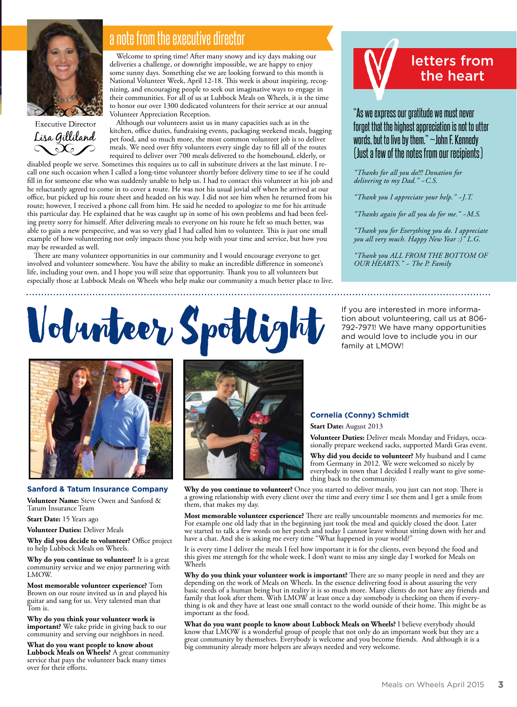

**Executive Director** Lisa Gilliland  $\infty$ 

## a note from the executive director

Welcome to spring time! After many snowy and icy days making our deliveries a challenge, or downright impossible, we are happy to enjoy some sunny days. Something else we are looking forward to this month is National Volunteer Week, April 12-18. This week is about inspiring, recognizing, and encouraging people to seek out imaginative ways to engage in their communities. For all of us at Lubbock Meals on Wheels, it is the time to honor our over 1300 dedicated volunteers for their service at our annual Volunteer Appreciation Reception.

Although our volunteers assist us in many capacities such as in the kitchen, office duties, fundraising events, packaging weekend meals, bagging pet food, and so much more, the most common volunteer job is to deliver meals. We need over fifty volunteers every single day to fill all of the routes required to deliver over 700 meals delivered to the homebound, elderly, or

disabled people we serve. Sometimes this requires us to call in substitute drivers at the last minute. I recall one such occasion when I called a long-time volunteer shortly before delivery time to see if he could fill in for someone else who was suddenly unable to help us. I had to contact this volunteer at his job and he reluctantly agreed to come in to cover a route. He was not his usual jovial self when he arrived at our office, but picked up his route sheet and headed on his way. I did not see him when he returned from his route; however, I received a phone call from him. He said he needed to apologize to me for his attitude this particular day. He explained that he was caught up in some of his own problems and had been feeling pretty sorry for himself. After delivering meals to everyone on his route he felt so much better, was able to gain a new perspective, and was so very glad I had called him to volunteer. This is just one small example of how volunteering not only impacts those you help with your time and service, but how you may be rewarded as well.

There are many volunteer opportunities in our community and I would encourage everyone to get involved and volunteer somewhere. You have the ability to make an incredible difference in someone's life, including your own, and I hope you will seize that opportunity. Thank you to all volunteers but especially those at Lubbock Meals on Wheels who help make our community a much better place to live.



## "As we express our gratitude we must never forget that the highest appreciation is not to utter words, but to live by them." ~John F. Kennedy (Just a few of the notes from our recipients)

*"Thanks for all you do!!! Donation for delivering to my Dad." ~C.S.*

*"Thank you I appreciate your help." ~J.T.*

*"Thanks again for all you do for me." ~M.S.*

*"Thank you for Everything you do. I appreciate you all very much. Happy New Year :)" L.G.*

*"Thank you ALL FROM THE BOTTOM OF OUR HEARTS." ~ The P. Family*

# Volumber Spotlight If you are interested in more informa-<br>This about volunteering, call us at 806



### **Sanford & Tatum Insurance Company**

**Volunteer Name:** Steve Owen and Sanford & Tatum Insurance Team

**Start Date:** 15 Years ago

**Volunteer Duties:** Deliver Meals

**Why did you decide to volunteer?** Office project to help Lubbock Meals on Wheels.

**Why do you continue to volunteer?** It is a great community service and we enjoy partnering with LMOW.

**Most memorable volunteer experience?** Tom Brown on our route invited us in and played his guitar and sang for us. Very talented man that Tom is.

**Why do you think your volunteer work is important?** We take pride in giving back to our community and serving our neighbors in need.

**What do you want people to know about Lubbock Meals on Wheels?** A great community service that pays the volunteer back many times over for their efforts.



tion about volunteering, call us at 806- 792-7971! We have many opportunities and would love to include you in our family at LMOW!

## **Cornelia (Conny) Schmidt**

**Start Date:** August 2013

**Volunteer Duties:** Deliver meals Monday and Fridays, occa- sionally prepare weekend sacks, supported Mardi Gras event.

**Why did you decide to volunteer?** My husband and I came from Germany in 2012. We were welcomed so nicely by everybody in town that I decided I really want to give some- thing back to the community.

**Why do you continue to volunteer?** Once you started to deliver meals, you just can not stop. There is a growing relationship with every client over the time and every time I see them and I get a smile from them, that makes my day.

**Most memorable volunteer experience?** There are really uncountable moments and memories for me. For example one old lady that in the beginning just took the meal and quickly closed the door. Later we started to talk a few words on her porch and today I cannot leave without sitting down with her and have a chat. And she is asking me every time "What happened in your world?"

It is every time I deliver the meals I feel how important it is for the clients, even beyond the food and this gives me strength for the whole week. I don't want to miss any single day I worked for Meals on Wheels

**Why do you think your volunteer work is important?** There are so many people in need and they are depending on the work of Meals on Wheels. In the essence delivering food is about assuring the very basic needs of a human being but in reality it is so much more. Many clients do not have any friends and family that look after them. With LMOW at least once a day somebody is checking on them if everything is ok and they have at least one small contact to the world outside of their home. This might be as important as the food.

**What do you want people to know about Lubbock Meals on Wheels?** I believe everybody should know that LMOW is a wonderful group of people that not only do an important work but they are a great community by themselves. Everybody is welcome and you become friends. And although it is a big community already more helpers are always needed and very welcome.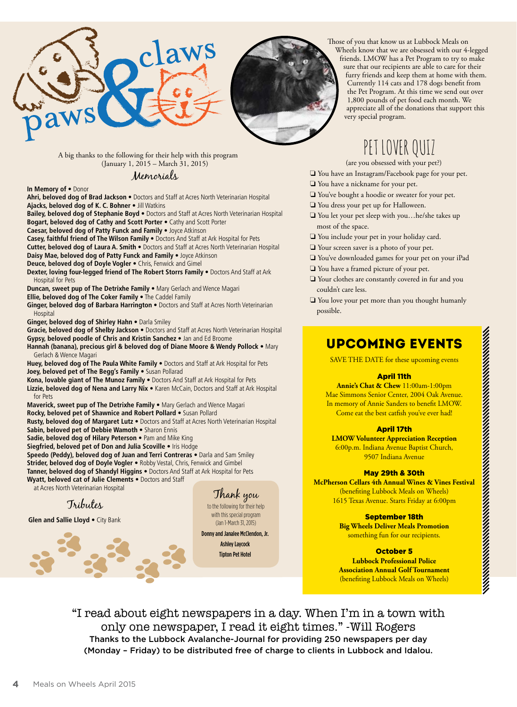



Those of you that know us at Lubbock Meals on Wheels know that we are obsessed with our 4-legged friends. LMOW has a Pet Program to try to make sure that our recipients are able to care for their furry friends and keep them at home with them. Currently 114 cats and 178 dogs benefit from the Pet Program. At this time we send out over 1,800 pounds of pet food each month. We appreciate all of the donations that support this very special program.

A big thanks to the following for their help with this program (January 1, 2015 – March 31, 2015)

Memorials

**In Memory of** • Donor

**Ahri, beloved dog of Brad Jackson** • Doctors and Staff at Acres North Veterinarian Hospital **Ajacks, beloved dog of K. C. Bohner** • Jill Watkins

**Bailey, beloved dog of Stephanie Boyd** • Doctors and Staff at Acres North Veterinarian Hospital **Bogart, beloved dog of Cathy and Scott Porter** • Cathy and Scott Porter

**Caesar, beloved dog of Patty Funck and Family** • Joyce Atkinson

**Casey, faithful friend of The Wilson Family** • Doctors And Staff at Ark Hospital for Pets **Cutter, beloved dog of Laura A. Smith** • Doctors and Staff at Acres North Veterinarian Hospital

**Daisy Mae, beloved dog of Patty Funck and Family** • Joyce Atkinson

**Deuce, beloved dog of Doyle Vogler** • Chris, Fenwick and Gimel

**Dexter, loving four-legged friend of The Robert Storrs Family** • Doctors And Staff at Ark Hospital for Pets

**Duncan, sweet pup of The Detrixhe Family** • Mary Gerlach and Wence Magari

**Ellie, beloved dog of The Coker Family** • The Caddel Family

**Ginger, beloved dog of Barbara Harrington** • Doctors and Staff at Acres North Veterinarian **Hospital** 

**Ginger, beloved dog of Shirley Hahn** • Darla Smiley

**Gracie, beloved dog of Shelby Jackson** • Doctors and Staff at Acres North Veterinarian Hospital **Gypsy, beloved poodle of Chris and Kristin Sanchez** • Jan and Ed Broome

**Hannah (banana), precious girl & beloved dog of Diane Moore & Wendy Pollock** • Mary Gerlach & Wence Magari

**Huey, beloved dog of The Paula White Family** • Doctors and Staff at Ark Hospital for Pets **Joey, beloved pet of The Begg's Family** • Susan Pollarad

**Kona, lovable giant of The Munoz Family** • Doctors And Staff at Ark Hospital for Pets **Lizzie, beloved dog of Nena and Larry Nix** • Karen McCain, Doctors and Staff at Ark Hospital for Pets

**Maverick, sweet pup of The Detrixhe Family** • Mary Gerlach and Wence Magari

**Rocky, beloved pet of Shawnice and Robert Pollard** • Susan Pollard

**Rusty, beloved dog of Margaret Lutz** • Doctors and Staff at Acres North Veterinarian Hospital **Sabin, beloved pet of Debbie Wamoth** • Sharon Ennis

**Sadie, beloved dog of Hilary Peterson** • Pam and Mike King **Siegfried, beloved pet of Don and Julia Scoville** • Iris Hodge

**Speedo (Peddy), beloved dog of Juan and Terri Contreras** • Darla and Sam Smiley **Strider, beloved dog of Doyle Vogler** • Robby Vestal, Chris, Fenwick and Gimbel **Tanner, beloved dog of Shandyl Higgins** • Doctors And Staff at Ark Hospital for Pets **Wyatt, beloved cat of Julie Clements** • Doctors and Staff

at Acres North Veterinarian Hospital

Tributes

**Glen and Sallie Lloyd** • City Bank

Thank you to the following for their help with this special program (Jan 1-March 31, 2015)

Donny and Janalee McClendon, Jr. Ashley Laycock Tipton Pet Hotel

PET LOVER QUIZ

(are you obsessed with your pet?)

- ❏ You have an Instagram/Facebook page for your pet.
- ❏ You have a nickname for your pet.
- ❏ You've bought a hoodie or sweater for your pet.
- ❏ You dress your pet up for Halloween.
- ❏ You let your pet sleep with you…he/she takes up most of the space.
- ❏ You include your pet in your holiday card.
- ❏ Your screen saver is a photo of your pet.
- ❏ You've downloaded games for your pet on your iPad
- ❏ You have a framed picture of your pet.
- ❏ Your clothes are constantly covered in fur and you couldn't care less.
- ❏ You love your pet more than you thought humanly possible.

## Upcoming Events

SAVE THE DATE for these upcoming events

## April 11th

**Annie's Chat & Chew** 11:00am-1:00pm Mae Simmons Senior Center, 2004 Oak Avenue. In memory of Annie Sanders to benefit LMOW. Come eat the best catfish you've ever had!

## April 17th

**LMOW Volunteer Appreciation Reception** 6:00p.m. Indiana Avenue Baptist Church, 9507 Indiana Avenue

## May 29th & 30th

**McPherson Cellars 4th Annual Wines & Vines Festival**  (benefiting Lubbock Meals on Wheels) 1615 Texas Avenue. Starts Friday at 6:00pm

> September 18th **Big Wheels Deliver Meals Promotion** something fun for our recipients.

## October 5

**Lubbock Professional Police Association Annual Golf Tournament** (benefiting Lubbock Meals on Wheels)

"I read about eight newspapers in a day. When I'm in a town with only one newspaper, I read it eight times." -Will Rogers Thanks to the Lubbock Avalanche-Journal for providing 250 newspapers per day (Monday – Friday) to be distributed free of charge to clients in Lubbock and Idalou.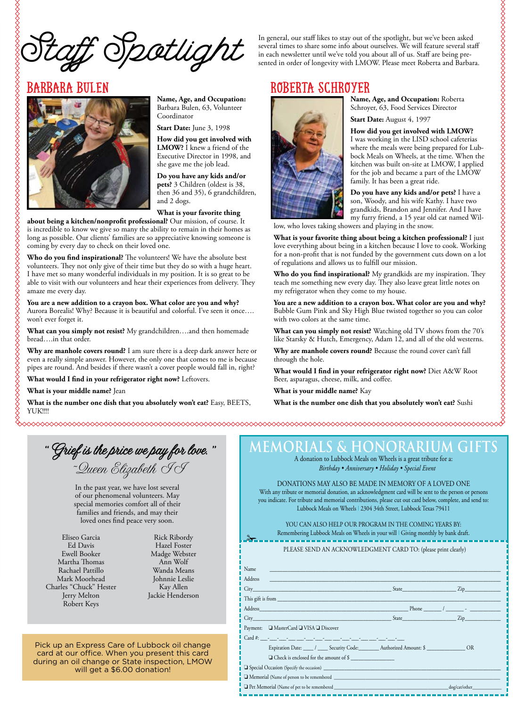Spotlight

In general, our staff likes to stay out of the spotlight, but we've been asked several times to share some info about ourselves. We will feature several staff in each newsletter until we've told you about all of us. Staff are being presented in order of longevity with LMOW. Please meet Roberta and Barbara.

## Roberta Schroyer



**Name, Age, and Occupation:** Barbara Bulen, 63, Volunteer Coordinator

**Start Date:** June 3, 1998

**How did you get involved with LMOW?** I knew a friend of the Executive Director in 1998, and she gave me the job lead.

**Do you have any kids and/or pets?** 3 Children (oldest is 38, then 36 and 35), 6 grandchildren, and 2 dogs.

#### **What is your favorite thing**

**about being a kitchen/nonprofit professional?** Our mission, of course. It is incredible to know we give so many the ability to remain in their homes as long as possible. Our clients' families are so appreciative knowing someone is coming by every day to check on their loved one.

**Who do you find inspirational?** The volunteers! We have the absolute best volunteers. They not only give of their time but they do so with a huge heart. I have met so many wonderful individuals in my position. It is so great to be able to visit with our volunteers and hear their experiences from delivery. They amaze me every day.

**You are a new addition to a crayon box. What color are you and why?** Aurora Borealis! Why? Because it is beautiful and colorful. I've seen it once…. won't ever forget it.

**What can you simply not resist?** My grandchildren….and then homemade bread….in that order.

**Why are manhole covers round?** I am sure there is a deep dark answer here or even a really simple answer. However, the only one that comes to me is because pipes are round. And besides if there wasn't a cover people would fall in, right?

**What would I find in your refrigerator right now?** Leftovers.

**What is your middle name?** Jean

**What is the number one dish that you absolutely won't eat?** Easy, BEETS, YUK!!!!



**Name, Age, and Occupation:** Roberta Schroyer, 63, Food Services Director

**Start Date:** August 4, 1997

**How did you get involved with LMOW?** I was working in the LISD school cafeterias where the meals were being prepared for Lubbock Meals on Wheels, at the time. When the kitchen was built on-site at LMOW, I applied for the job and became a part of the LMOW family. It has been a great ride.

**Do you have any kids and/or pets?** I have a son, Woody, and his wife Kathy. I have two grandkids, Brandon and Jennifer. And I have my furry friend, a 15 year old cat named Willow, who loves taking showers and playing in the snow.

**What is your favorite thing about being a kitchen professional?** I just love everything about being in a kitchen because I love to cook. Working for a non-profit that is not funded by the government cuts down on a lot of regulations and allows us to fulfill our mission.

**Who do you find inspirational?** My grandkids are my inspiration. They teach me something new every day. They also leave great little notes on my refrigerator when they come to my house.

**You are a new addition to a crayon box. What color are you and why?**  Bubble Gum Pink and Sky High Blue twisted together so you can color with two colors at the same time.

**What can you simply not resist?** Watching old TV shows from the 70's like Starsky & Hutch, Emergency, Adam 12, and all of the old westerns.

**Why are manhole covers round?** Because the round cover can't fall through the hole.

**What would I find in your refrigerator right now?** Diet A&W Root Beer, asparagus, cheese, milk, and coffee.

**What is your middle name?** Kay

**What is the number one dish that you absolutely won't eat?** Sushi

"Grief is the price we pay for love." ~Queen Elizabeth II

In the past year, we have lost several of our phenomenal volunteers. May special memories comfort all of their families and friends, and may their loved ones find peace very soon.

Eliseo Garcia Ed Davis Ewell Booker Martha Thomas Rachael Pattillo Mark Moorhead Charles "Chuck" Hester Jerry Melton Robert Keys

Rick Ribordy Hazel Foster Madge Webster Ann Wolf Wanda Means Johnnie Leslie Kay Allen Jackie Henderson

Pick up an Express Care of Lubbock oil change card at our office. When you present this card during an oil change or State inspection, LMOW will get a \$6.00 donation!

## **MEMORIALS & HONORARIUM GIFTS**

A donation to Lubbock Meals on Wheels is a great tribute for a: *Birthday • Anniversary • Holiday • Special Event*

DONATIONS MAY ALSO BE MADE IN MEMORY OF A LOVED ONE With any tribute or memorial donation, an acknowledgment card will be sent to the person or persons you indicate. For tribute and memorial contributions, please cut out card below, complete, and send to: Lubbock Meals on Wheels | 2304 34th Street, Lubbock Texas 79411

YOU CAN ALSO HELP OUR PROGRAM IN THE COMING YEARS BY: Remembering Lubbock Meals on Wheels in your will | Giving monthly by bank draft.

PLEASE SEND AN ACKNOWLEDGMENT CARD TO: (please print clearly)

| Address |                                                                                                                                                                                                                               |
|---------|-------------------------------------------------------------------------------------------------------------------------------------------------------------------------------------------------------------------------------|
|         | State Zip                                                                                                                                                                                                                     |
|         |                                                                                                                                                                                                                               |
|         | Address Phone 2008 - 2008 - 2008 - 2008 - 2008 - 2008 - 2008 - 2008 - 2008 - 2008 - 2008 - 2008 - 2008 - 2008 - 2008 - 2008 - 2008 - 2008 - 2008 - 2008 - 2008 - 2008 - 2008 - 2008 - 2008 - 2008 - 2008 - 2008 - 2008 - 2008 |
|         |                                                                                                                                                                                                                               |
|         | Payment: ■ MasterCard ■ VISA ■ Discover                                                                                                                                                                                       |
|         | $Card \#$                                                                                                                                                                                                                     |
|         | Expiration Date: _____/ _____ Security Code: ________ Authorized Amount: \$ _______________ OR                                                                                                                                |
|         | $\Box$ Check is enclosed for the amount of \$                                                                                                                                                                                 |
|         |                                                                                                                                                                                                                               |
|         |                                                                                                                                                                                                                               |
|         |                                                                                                                                                                                                                               |

 $\Box$  Pet Memorial (Name of pet to be remembered  $\Box$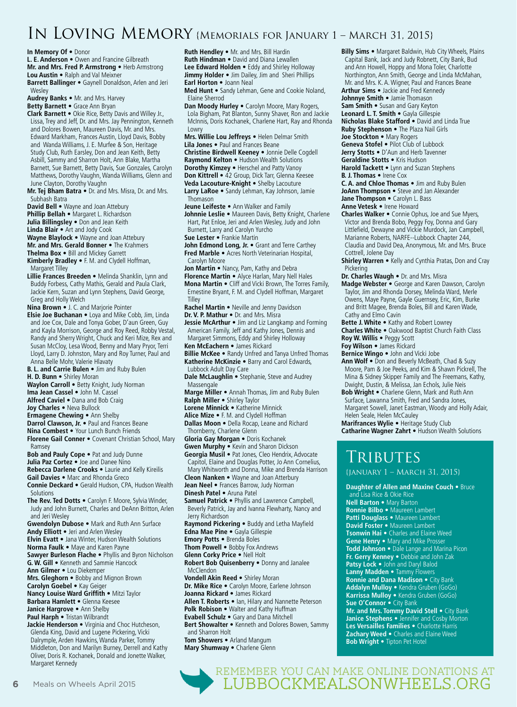## IN LOVING MEMORY {MEMORIALS FOR JANUARY 1 – MARCH 31, 2015}

**In Memory Of •** Donor

**Ruth Hendley •** Mr. and Mrs. Bill Hardin **Ruth Hindman •** David and Diana Lewallen **L. E. Anderson •** Owen and Francine Gilbreath **Mr. and Mrs. Fred P. Armstrong •** Herb Armstrong **Lou Austin •** Ralph and Val Meixner **Barrett Ballinger •** Gaynell Donaldson, Arlen and Jeri Wesley **Audrey Banks •** Mr. and Mrs. Harvey **Betty Barnett •** Grace Ann Bryan **Clark Barnett •** Okie Rice, Betty Davis and Willey Jr., Lissa, Trey and Jeff, Dr. and Mrs. Jay Pennington, Kenneth and Dolores Bowen, Maureen Davis, Mr. and Mrs. Edward Markham, Frances Austin, Lloyd Davis, Bobby and Wanda Williams, J. E. Murfee & Son, Heritage Study Club, Ruth Earsley, Don and Jean Keith, Betty Asbill, Sammy and Sharron Holt, Ann Blake, Martha Barnett, Sue Barnett, Betty Davis, Sue Gonzales, Carolyn Matthews, Dorothy Vaughn, Wanda Williams, Glenn and June Clayton, Dorothy Vaughn **Mr. Tej Bham Batra •** Dr. and Mrs. Misra, Dr. and Mrs. Subhash Batra **David Bell •** Wayne and Joan Attebury **Phillip Bellah •** Margaret L. Richardson **Julia Billingsley •** Don and Jean Keith **Linda Blair •** Art and Jody Cook **Wayne Blaylock •** Wayne and Joan Attebury **Mr. and Mrs. Gerald Bonner •** The Krahmers **Thelma Box •** Bill and Mickey Garrett **Kimberly Bradley •** F. M. and Clydell Hoffman, Margaret Tilley **Lillie Frances Breeden •** Melinda Shanklin, Lynn and Buddy Forbess, Cathy Mathis, Gerald and Paula Clark, Jackie Kern, Suzan and Lynn Stephens, David George, Greg and Holly Welch **Nina Brown •** J. C. and Marjorie Pointer **Elsie Joe Buchanan •** Loya and Mike Cobb, Jim, Linda and Joe Cox, Dale and Tonya Gober, D'aun Green, Guy and Kayla Morrison, George and Roy Reed, Robby Vestal, Randy and Sherry Wright, Chuck and Keri Mize, Rex and Susan McCloy, Lesa Wood, Benny and Mary Pryor, Terri Lloyd, Larry D. Johnston, Mary and Roy Turner, Paul and Anna Belle Mohr, Valerie Hlavaty **B. L. and Carrie Bulen •** Jim and Ruby Bulen **H. D. Bunn •** Shirley Moran Waylon Carroll . Betty Knight, Judy Norman **Ima Jean Cassel •** John M. Cassel **Alfred Caviel •** Dana and Bob Craig **Joy Charles •** Neva Bullock **Ermagene Chewing •** Ann Shelby **Darrol Clawson, Jr. •** Paul and Frances Beane **Nina Combest •** Your Lunch Bunch Friends **Florene Gail Conner •** Covenant Christian School, Mary Ramsey **Bob and Pauly Cope •** Pat and Judy Dunne **Julia Paz Cortez •** Joe and Danee Nino **Rebecca Darlene Crooks •** Laurie and Kelly Kireilis **Gail Davies •** Marc and Rhonda Greco **Connie Deckard •** Gerald Hudson, CPA, Hudson Wealth **Solutions The Rev. Ted Dotts •** Carolyn F. Moore, Sylvia Winder, Judy and John Burnett, Charles and DeAnn Britton, Arlen and Jeri Wesley **Gwendolyn Dubose •** Mark and Ruth Ann Surface **Andy Elliott •** Jeri and Arlen Wesley **Elvin Evatt •** Jana Winter, Hudson Wealth Solutions **Norma Faulk •** Maye and Karen Payne **Sawyer Burleson Flache •** Phyllis and Byron Nicholson **G. W. Gill •** Kenneth and Sammie Hancock **Ann Gilmer •** Lou Diekemper **Mrs. Gleghorn •** Bobby and Mignon Brown **Carolyn Goebel •** Kay Geiger **Nancy Louise Ward Griffith •** Mitzi Taylor **Barbara Hamlett •** Glenna Keesee **Janice Hargrove •** Ann Shelby **Paul Harph •** Tristan Wilbrandt **Jackie Henderson •** Virginia and Choc Hutcheson, Glenda King, David and Lugene Pickering, Vicki Dalrymple, Arden Hawkins, Wanda Parker, Tommy Middleton, Don and Marilyn Burney, Derrell and Kathy

**Lee Edward Holden •** Eddy and Shirley Holloway **Jimmy Holder •** Jim Dailey, Jim and Sheri Phillips **Earl Horton •** Joann Neal **Med Hunt •** Sandy Lehman, Gene and Cookie Noland, Elaine Sherrod Dan Moody Hurley . Carolyn Moore, Mary Rogers, Lola Bigham, Pat Blanton, Sunny Shaver, Ron and Jackie McInnis, Doris Kochanek, Charlene Hart, Ray and Rhonda Lowry **Mrs. Willie Lou Jeffreys •** Helen Delmar Smith **Lila Jones •** Paul and Frances Beane **Christine Birdwell Keeney •** Jonnie Delle Cogdell **Raymond Kelton •** Hudson Wealth Solutions **Dorothy Kimzey •** Herschel and Patty Vanoy Don Kittrell • 42 Group, Dick Tarr, Glenna Keesee **Veda Lacouture-Knight •** Shelby Lacouture **Larry LaRoe •** Sandy Lehman, Kay Johnson, Jamie **Thomason Jeune Leifeste •** Ann Walker and Family **Johnnie Leslie •** Maureen Davis, Betty Knight, Charlene Hart, Pat Enloe, Jeri and Arlen Wesley, Judy and John Burnett, Larry and Carolyn Yurcho **Sue Lester •** Frankie Martin John Edmond Long, Jr. • Grant and Terre Carthey **Fred Marble •** Acres North Veterinarian Hospital, Carolyn Moore **Jon Martin •** Nancy, Pam, Kathy and Debra **Florence Martin •** Alyce Harlan, Mary Nell Hales **Mona Martin •** Cliff and Vicki Brown, The Torres Family, Ernestine Bryant, F. M. and Clydell Hoffman, Margaret Tilley **Rachel Martin •** Neville and Jenny Davidson **Dr. V. P. Mathur •** Dr. and Mrs. Misra **Jessie McArthur •** Jim and Liz Langkamp and Forming American Family, Jeff and Kathy Jones, Dennis and Margaret Simmons, Eddy and Shirley Holloway **Ken McEachern •** James Rickard **Billie McKee •** Randy Unfred and Tanya Unfred Thomas **Katherine McKinzie •** Barry and Carol Edwards, Lubbock Adult Day Care **Dale McLaughlin •** Stephanie, Steve and Audrey Massengale **Marge Miller •** Annah Thomas, Jim and Ruby Bulen **Ralph Miller •** Shirley Taylor **Lorene Minnick •** Katherine Minnick **Alice Mize •** F. M. and Clydell Hoffman **Dallas Moon •** Della Rocap, Leane and Richard Thornberry, Charlene Glenn **Gloria Gay Morgan •** Doris Kochanek **Gwen Murphy •** Kevin and Sharon Dickson **Georgia Musil •** Pat Jones, Cleo Hendrix, Advocate Capitol, Elaine and Douglas Potter, Jo Ann Cornelius, Mary Whitworth and Donna, Mike and Brenda Harrison **Cleon Nanken •** Wayne and Joan Atterbury Jean Neel • Frances Barrow, Judy Norman **Dinesh Patel •** Aruna Patel **Samuel Patrick •** Phyllis and Lawrence Campbell, Beverly Patrick, Jay and Ivanna Flewharty, Nancy and Jerry Richardson **Raymond Pickering •** Buddy and Letha Mayfield **Edna Mae Pine •** Gayla Gillespie **Emory Potts •** Brenda Boles **Thom Powell •** Bobby Fox Andrews **Glenn Corky Price •** Nell Holt **Robert Bob Quisenberry •** Donny and Janalee McClendon **Vondell Akin Reed •** Shirley Moran **Dr. Mike Rice •** Carolyn Moore, Earlene Johnson **Joanna Rickard •** James Rickard **Allen T. Roberts •** Ian, Hilary and Nannette Peterson **Polk Robison •** Walter and Kathy Huffman **Evabell Schulz •** Gary and Dana Mitchell **Bert Showalter •** Kenneth and Dolores Bowen, Sammy and Sharron Holt **Tom Showers •** Arland Mangum **Mary Shumway •** Charlene Glenn Remember you can make online donations at **6** Meals on Wheels April 2015 LUBBOCKMEALSONWHEELS.ORG

**Billy Sims •** Margaret Baldwin, Hub City Wheels, Plains Capital Bank, Jack and Judy Robnett, City Bank, Bud and Ann Howell, Hoppy and Mona Toler, Charlotte Northington, Ann Smith, George and Linda McMahan, Mr. and Mrs. K. A. Wigner, Paul and Frances Beane

**Arthur Sims •** Jackie and Fred Kennedy **Johnnye Smith •** Jamie Thomason

**Sam Smith •** Susan and Gary Keyton

**Leonard L. T. Smith •** Gayla Gillespie

**Nicholas Blake Stafford •** David and Linda True

**Ruby Stephenson •** The Plaza Nail Girls

**Joe Stockton •** Mary Rogers **Geneva Stofel •** Pilot Club of Lubbock

Jerry Stotts . D'Aun and Herb Tavenner

**Geraldine Stotts •** Kris Hudson

**Harold Tackett •** Lynn and Suzan Stephens **B. J. Thomas •** Irene Cox

**C. A. and Chloe Thomas •** Jim and Ruby Bulen **JoAnn Thompson •** Steve and Jan Alexander **Jane Thompson •** Carolyn L. Bass **Anne Vetesk •** Irene Howard

**Charles Walker •** Connie Ophus, Joe and Sue Myers, Victor and Brenda Bobo, Peggy Foy, Donna and Gary Littlefield, Dewayne and Vickie Murdock, Jan Campbell, Marianne Roberts, NARFE--Lubbock Chapter 244, Claudia and David Dea, Anonymous, Mr. and Mrs. Bruce Cottrell, Jolene Day

**Shirley Warren •** Kelly and Cynthia Pratas, Don and Cray Pickering

**Dr. Charles Waugh •** Dr. and Mrs. Misra

**Madge Webster •** George and Karen Dawson, Carolyn Taylor, Jim and Rhonda Dorsey, Melinda Ward, Merle Owens, Maye Payne, Gayle Guernsey, Eric, Kim, Burke and Britt Magee, Brenda Boles, Bill and Karen Wade, Cathy and Elmo Cavin

**Bette J. White •** Kathy and Robert Lowrey **Charles White •** Oakwood Baptist Church Faith Class **Roy W. Willis •** Peggy Scott

**Foy Wilson •** James Rickard

**Bernice Wingo •** John and Vicki Jobe

**Ann Wolf •** Don and Beverly McBeath, Chad & Suzy Moore, Pam & Joe Peeks, and Kim & Shawn Pickrell, The Mina & Sidney Skipper Family and The Freemans, Kathy, Dwight, Dustin, & Melissa, Jan Echols, Julie Neis

**Bob Wright •** Charlene Glenn, Mark and Ruth Ann Surface, Lawanna Smith, Fred and Sandra Jones, Margaret Sowell, Janet Eastman, Woody and Holly Adair, Helen Seale, Helen McCauley

**Marifrances Wylie •** Heritage Study Club **Catharine Wagner Zahrt •** Hudson Wealth Solutions

## **TRIBUTES**

{january 1 – March 31, 2015}

**Daughter of Allen and Maxine Couch •** Bruce and Lisa Rice & Okie Rice

**Nell Barton •** Mary Barton **Ronnie Bilbo •** Maureen Lambert **Patti Douglass •** Maureen Lambert **David Foster •** Maureen Lambert **Tsonwin Hai •** Charles and Elaine Weed **Gene Henry •** Mary and Mike Prosser **Todd Johnson •** Dale Lange and Marina Picon **Fr. Gerry Kenney •** Debbie and John Zak **Patsy Lock •** John and Daryl Balod **Lanny Madden •** Tammy Flowers **Ronnie and Dana Madison •** City Bank **Addalyn Mulloy •** Kendra Gruben (GoGo) **Karrissa Mulloy •** Kendra Gruben (GoGo) **Sue O'Connor •** City Bank **Mr. and Mrs. Tommy David Stell •** City Bank **Janice Stephens •** Jennifer and Cosby Morton **Les Versailles Families •** Charlotte Harris **Zachary Weed •** Charles and Elaine Weed **Bob Wright •** Tipton Pet Hotel

Margaret Kennedy

Oliver, Doris R. Kochanek, Donald and Jonette Walker,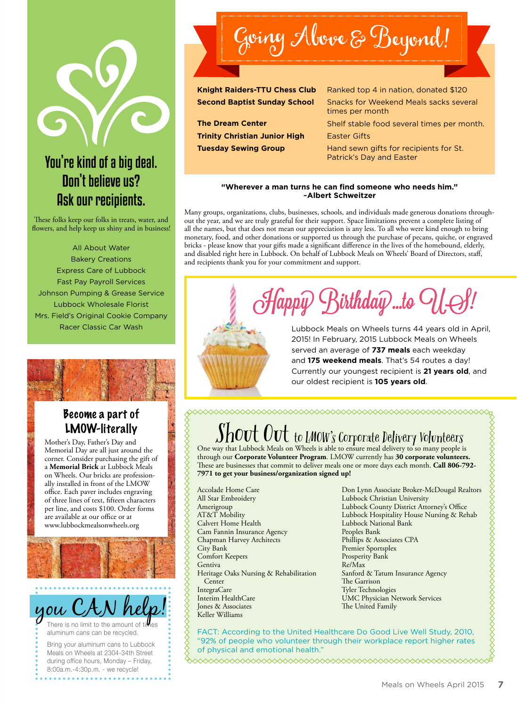## You're kind of a big deal. Don't believe us? Ask our recipients.

These folks keep our folks in treats, water, and flowers, and help keep us shiny and in business!

All About Water Bakery Creations Express Care of Lubbock Fast Pay Payroll Services Johnson Pumping & Grease Service Lubbock Wholesale Florist Mrs. Field's Original Cookie Company Racer Classic Car Wash



**Trinity Christian Junior High Easter Gifts** 

Knight Raiders-TTU Chess Club Ranked top 4 in nation, donated \$120 **Second Baptist Sunday School** Snacks for Weekend Meals sacks several times per month **The Dream Center** Shelf stable food several times per month. **Tuesday Sewing Group Hand sewn gifts for recipients for St.** Patrick's Day and Easter

#### **"Wherever a man turns he can find someone who needs him." ~Albert Schweitzer**

Many groups, organizations, clubs, businesses, schools, and individuals made generous donations throughout the year, and we are truly grateful for their support. Space limitations prevent a complete listing of all the names, but that does not mean our appreciation is any less. To all who were kind enough to bring monetary, food, and other donations or supported us through the purchase of pecans, quiche, or engraved bricks - please know that your gifts made a significant difference in the lives of the homebound, elderly, and disabled right here in Lubbock. On behalf of Lubbock Meals on Wheels' Board of Directors, staff, and recipients thank you for your commitment and support.

Happy  $\mathcal G$ irthday...to  $\mathcal G$ 



Lubbock Meals on Wheels turns 44 years old in April, 2015! In February, 2015 Lubbock Meals on Wheels served an average of **737 meals** each weekday and **175 weekend meals**. That's 54 routes a day! Currently our youngest recipient is **21 years old**, and our oldest recipient is **105 years old**.

## Become a part of LMOW-literally

Mother's Day, Father's Day and Memorial Day are all just around the corner. Consider purchasing the gift of a **Memorial Brick** at Lubbock Meals on Wheels. Our bricks are professionally installed in front of the LMOW office. Each paver includes engraving of three lines of text, fifteen characters per line, and costs \$100. Order forms are available at our office or at www.lubbockmealsonwheels.org



Meals on Wheels at 2304-34th Street during office hours, Monday – Friday, 8:00a.m.-4:30p.m. - we recycle!

## $S_{\text{S}}$  OUT UUT to LMOW's Corporate Delivery Volunteers One way that Lubbock Meals on Wheels is able to ensure meal delivery to so many people is

through our **Corporate Volunteer Program**. LMOW currently has **30 corporate volunteers.** These are businesses that commit to deliver meals one or more days each month. **Call 806-792- 7971 to get your business/organization signed up!**

Accolade Home Care All Star Embroidery Amerigroup AT&T Mobility Calvert Home Health Cam Fannin Insurance Agency Chapman Harvey Architects City Bank Comfort Keepers Gentiva Heritage Oaks Nursing & Rehabilitation **Center** IntegraCare Interim HealthCare Jones & Associates Keller Williams

Don Lynn Associate Broker-McDougal Realtors Lubbock Christian University Lubbock County District Attorney's Office Lubbock Hospitality House Nursing & Rehab Lubbock National Bank Peoples Bank Phillips & Associates CPA Premier Sportsplex Prosperity Bank Re/Max Sanford & Tatum Insurance Agency The Garrison Tyler Technologies UMC Physician Network Services The United Family

FACT: According to the United Healthcare Do Good Live Well Study, 2010, "92% of people who volunteer through their workplace report higher rates of physical and emotional health."

XXXXXXXXXXXXXXXXXXXXXXXXXXXXXXXXX

\$\$\$\$\$\$\$\$\$\$\$\$\$\$\$\$\$\$\$\$\$\$\$\$\$\$\$\$\$